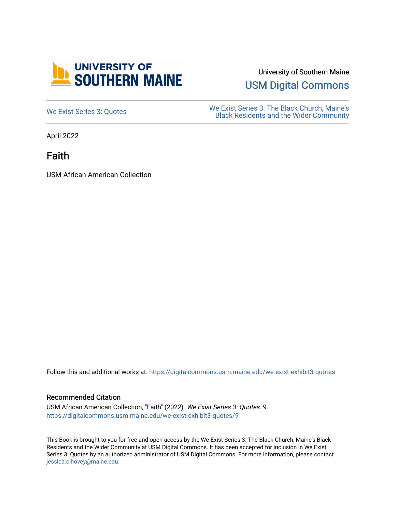

University of Southern Maine

[USM Digital Commons](https://digitalcommons.usm.maine.edu/) 

[We Exist Series 3: Quotes](https://digitalcommons.usm.maine.edu/we-exist-exhibit3-quotes) We Exist Series 3: The Black Church, Maine's<br>
Read Residents and the Wider Community [Black Residents and the Wider Community](https://digitalcommons.usm.maine.edu/we-exist-exhibit3) 

April 2022

Faith

USM African American Collection

Follow this and additional works at: [https://digitalcommons.usm.maine.edu/we-exist-exhibit3-quotes](https://digitalcommons.usm.maine.edu/we-exist-exhibit3-quotes?utm_source=digitalcommons.usm.maine.edu%2Fwe-exist-exhibit3-quotes%2F9&utm_medium=PDF&utm_campaign=PDFCoverPages) 

#### Recommended Citation

USM African American Collection, "Faith" (2022). We Exist Series 3: Quotes. 9. [https://digitalcommons.usm.maine.edu/we-exist-exhibit3-quotes/9](https://digitalcommons.usm.maine.edu/we-exist-exhibit3-quotes/9?utm_source=digitalcommons.usm.maine.edu%2Fwe-exist-exhibit3-quotes%2F9&utm_medium=PDF&utm_campaign=PDFCoverPages)

This Book is brought to you for free and open access by the We Exist Series 3: The Black Church, Maine's Black Residents and the Wider Community at USM Digital Commons. It has been accepted for inclusion in We Exist Series 3: Quotes by an authorized administrator of USM Digital Commons. For more information, please contact [jessica.c.hovey@maine.edu.](mailto:ian.fowler@maine.edu)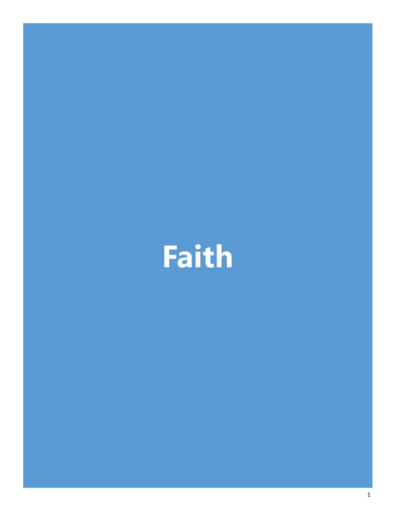# **Faith**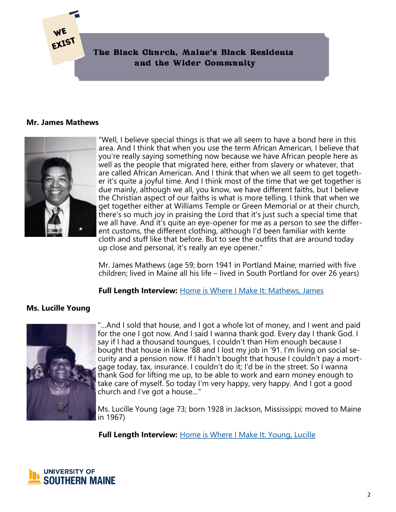## **Mr. James Mathews**

EXIST



"Well, I believe special things is that we all seem to have a bond here in this area. And I think that when you use the term African American, I believe that you're really saying something now because we have African people here as well as the people that migrated here, either from slavery or whatever, that are called African American. And I think that when we all seem to get together it's quite a joyful time. And I think most of the time that we get together is due mainly, although we all, you know, we have different faiths, but I believe the Christian aspect of our faiths is what is more telling. I think that when we get together either at Williams Temple or Green Memorial or at their church, there's so much joy in praising the Lord that it's just such a special time that we all have. And it's quite an eye-opener for me as a person to see the different customs, the different clothing, although I'd been familiar with kente cloth and stuff like that before. But to see the outfits that are around today up close and personal, it's really an eye opener."

Mr. James Mathews (age 59; born 1941 in Portland Maine; married with five children; lived in Maine all his life – lived in South Portland for over 26 years)

**Full Length Interview:** [Home is Where I Make It: Mathews, James](https://digitalcommons.usm.maine.edu/aa_hiwimi/4/)

# **Ms. Lucille Young**



"…And I sold that house, and I got a whole lot of money, and I went and paid for the one I got now. And I said I wanna thank god. Every day I thank God. I say if I had a thousand toungues, I couldn't than Him enough because I bought that house in likne '88 and I lost my job in '91. I'm living on social security and a pension now. If I hadn't bought that house I couldn't pay a mortgage today, tax, insurance. I couldn't do it; I'd be in the street. So I wanna thank God for lifting me up, to be able to work and earn money enough to take care of myself. So today I'm very happy, very happy. And I got a good church and I've got a house…"

Ms. Lucille Young (age 73; born 1928 in Jackson, Mississippi; moved to Maine in 1967)

**Full Length Interview:** [Home is Where I Make It: Young, Lucille](https://digitalcommons.usm.maine.edu/aa_hiwimi/6/)

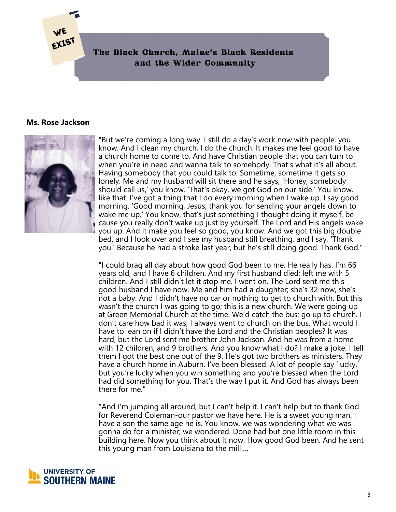#### **Ms. Rose Jackson**

**EXIST** 



"But we're coming a long way. I still do a day's work now with people, you know. And I clean my church, I do the church. It makes me feel good to have a church home to come to. And have Christian people that you can turn to when you're in need and wanna talk to somebody. That's what it's all about. Having somebody that you could talk to. Sometime, sometime it gets so lonely. Me and my husband will sit there and he says, 'Honey, somebody should call us,' you know. 'That's okay, we got God on our side.' You know, like that. I've got a thing that I do every morning when I wake up. I say good morning. 'Good morning, Jesus; thank you for sending your angels down to wake me up.' You know, that's just something I thought doing it myself, because you really don't wake up just by yourself. The Lord and His angels wake you up. And it make you feel so good, you know. And we got this big double bed, and I look over and I see my husband still breathing, and I say, 'Thank you.' Because he had a stroke last year, but he's still doing good. Thank God."

"I could brag all day about how good God been to me. He really has. I'm 66 years old, and I have 6 children. And my first husband died; left me with 5 children. And I still didn't let it stop me. I went on. The Lord sent me this good husband I have now. Me and him had a daughter; she's 32 now, she's not a baby. And I didn't have no car or nothing to get to church with. But this wasn't the church I was going to go; this is a new church. We were going up at Green Memorial Church at the time. We'd catch the bus; go up to church. I don't care how bad it was, I always went to church on the bus. What would I have to lean on if l didn't have the Lord and the Christian peoples? It was hard, but the Lord sent me brother John Jackson. And he was from a home with 12 children, and 9 brothers. And you know what I do? I make a joke: I tell them I got the best one out of the 9. He's got two brothers as ministers. They have a church home in Auburn. I've been blessed. A lot of people say 'lucky,' but you're lucky when you win something and you're blessed when the Lord had did something for you. That's the way I put it. And God has always been there for me."

"And I'm jumping all around, but I can't help it. I can't help but to thank God for Reverend Coleman-our pastor we have here. He is a sweet young man. I have a son the same age he is. You know, we was wondering what we was gonna do for a minister; we wondered. Done had but one little room in this building here. Now you think about it now. How good God been. And he sent this young man from Louisiana to the mill….

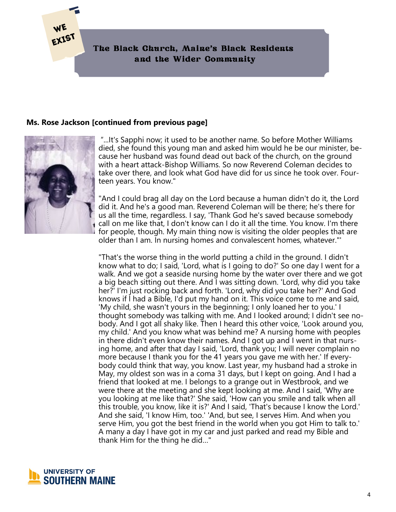# **Ms. Rose Jackson [continued from previous page]**



"...It's Sapphi now; it used to be another name. So before Mother Williams died, she found this young man and asked him would he be our minister, because her husband was found dead out back of the church, on the ground with a heart attack-Bishop Williams. So now Reverend Coleman decides to take over there, and look what God have did for us since he took over. Fourteen years. You know."

"And I could brag all day on the Lord because a human didn't do it, the Lord did it. And he's a good man. Reverend Coleman will be there; he's there for us all the time, regardless. I say, 'Thank God he's saved because somebody call on me like that, I don't know can I do it all the time. You know. I'm there for people, though. My main thing now is visiting the older peoples that are older than I am. In nursing homes and convalescent homes, whatever."'

"That's the worse thing in the world putting a child in the ground. I didn't know what to do; I said, 'Lord, what is I going to do?' So one day I went for a walk. And we got a seaside nursing home by the water over there and we got a big beach sitting out there. And I was sitting down. 'Lord, why did you take her?' I'm just rocking back and forth. 'Lord, why did you take her?' And God knows if l had a Bible, I'd put my hand on it. This voice come to me and said, 'My child, she wasn't yours in the beginning; I only loaned her to you.' I thought somebody was talking with me. And I looked around; I didn't see nobody. And I got all shaky like. Then I heard this other voice, 'Look around you, my child.' And you know what was behind me? A nursing home with peoples in there didn't even know their names. And I got up and I went in that nursing home, and after that day I said, 'Lord, thank you; I will never complain no more because I thank you for the 41 years you gave me with her.' If everybody could think that way, you know. Last year, my husband had a stroke in May, my oldest son was in a coma 31 days, but I kept on going. And I had a friend that looked at me. I belongs to a grange out in Westbrook, and we were there at the meeting and she kept looking at me. And I said, 'Why are you looking at me like that?' She said, 'How can you smile and talk when all this trouble, you know, like it is?' And I said, 'That's because I know the Lord.' And she said, 'I know Him, too.' 'And, but see, I serves Him. And when you serve Him, you got the best friend in the world when you got Him to talk to.' A many a day I have got in my car and just parked and read my Bible and thank Him for the thing he did…"